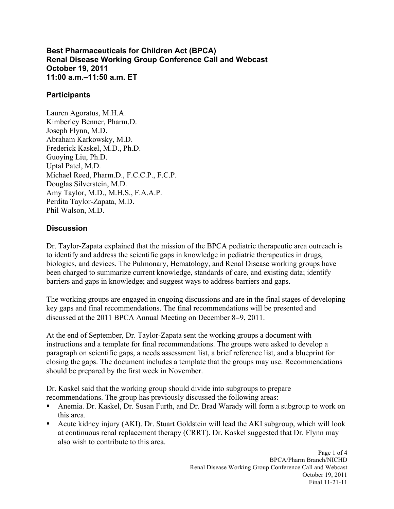**Best Pharmaceuticals for Children Act (BPCA) Renal Disease Working Group Conference Call and Webcast October 19, 2011 11:00 a.m.–11:50 a.m. ET** 

## **Participants**

Lauren Agoratus, M.H.A. Kimberley Benner, Pharm.D. Joseph Flynn, M.D. Abraham Karkowsky, M.D. Frederick Kaskel, M.D., Ph.D. Guoying Liu, Ph.D. Uptal Patel, M.D. Michael Reed, Pharm.D., F.C.C.P., F.C.P. Douglas Silverstein, M.D. Amy Taylor, M.D., M.H.S., F.A.A.P. Perdita Taylor-Zapata, M.D. Phil Walson, M.D.

## **Discussion**

Dr. Taylor-Zapata explained that the mission of the BPCA pediatric therapeutic area outreach is to identify and address the scientific gaps in knowledge in pediatric therapeutics in drugs, biologics, and devices. The Pulmonary, Hematology, and Renal Disease working groups have been charged to summarize current knowledge, standards of care, and existing data; identify barriers and gaps in knowledge; and suggest ways to address barriers and gaps.

The working groups are engaged in ongoing discussions and are in the final stages of developing key gaps and final recommendations. The final recommendations will be presented and discussed at the 2011 BPCA Annual Meeting on December 8−9, 2011.

At the end of September, Dr. Taylor-Zapata sent the working groups a document with instructions and a template for final recommendations. The groups were asked to develop a paragraph on scientific gaps, a needs assessment list, a brief reference list, and a blueprint for closing the gaps. The document includes a template that the groups may use. Recommendations should be prepared by the first week in November.

Dr. Kaskel said that the working group should divide into subgroups to prepare recommendations. The group has previously discussed the following areas:

- Anemia. Dr. Kaskel, Dr. Susan Furth, and Dr. Brad Warady will form a subgroup to work on this area. !
- Acute kidney injury (AKI). Dr. Stuart Goldstein will lead the AKI subgroup, which will look ! at continuous renal replacement therapy (CRRT). Dr. Kaskel suggested that Dr. Flynn may also wish to contribute to this area.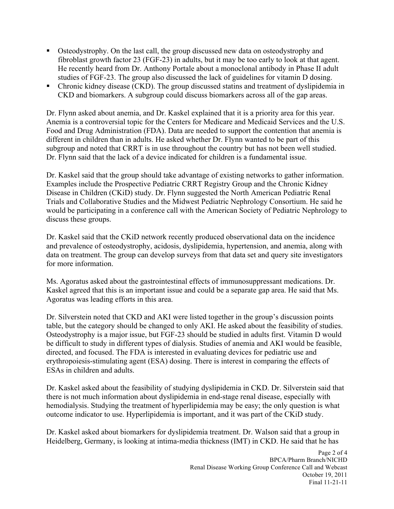- Osteodystrophy. On the last call, the group discussed new data on osteodystrophy and fibroblast growth factor 23 (FGF-23) in adults, but it may be too early to look at that agent. He recently heard from Dr. Anthony Portale about a monoclonal antibody in Phase II adult studies of FGF-23. The group also discussed the lack of guidelines for vitamin D dosing. !
- ! Chronic kidney disease (CKD). The group discussed statins and treatment of dyslipidemia in CKD and biomarkers. A subgroup could discuss biomarkers across all of the gap areas.

Dr. Flynn asked about anemia, and Dr. Kaskel explained that it is a priority area for this year. Anemia is a controversial topic for the Centers for Medicare and Medicaid Services and the U.S. Food and Drug Administration (FDA). Data are needed to support the contention that anemia is different in children than in adults. He asked whether Dr. Flynn wanted to be part of this subgroup and noted that CRRT is in use throughout the country but has not been well studied. Dr. Flynn said that the lack of a device indicated for children is a fundamental issue.

Dr. Kaskel said that the group should take advantage of existing networks to gather information. Examples include the Prospective Pediatric CRRT Registry Group and the Chronic Kidney Disease in Children (CKiD) study. Dr. Flynn suggested the North American Pediatric Renal Trials and Collaborative Studies and the Midwest Pediatric Nephrology Consortium. He said he would be participating in a conference call with the American Society of Pediatric Nephrology to discuss these groups.

Dr. Kaskel said that the CKiD network recently produced observational data on the incidence and prevalence of osteodystrophy, acidosis, dyslipidemia, hypertension, and anemia, along with data on treatment. The group can develop surveys from that data set and query site investigators for more information.

Ms. Agoratus asked about the gastrointestinal effects of immunosuppressant medications. Dr. Kaskel agreed that this is an important issue and could be a separate gap area. He said that Ms. Agoratus was leading efforts in this area.

Dr. Silverstein noted that CKD and AKI were listed together in the group's discussion points table, but the category should be changed to only AKI. He asked about the feasibility of studies. Osteodystrophy is a major issue, but FGF-23 should be studied in adults first. Vitamin D would be difficult to study in different types of dialysis. Studies of anemia and AKI would be feasible, directed, and focused. The FDA is interested in evaluating devices for pediatric use and erythropoiesis-stimulating agent (ESA) dosing. There is interest in comparing the effects of ESAs in children and adults.

Dr. Kaskel asked about the feasibility of studying dyslipidemia in CKD. Dr. Silverstein said that there is not much information about dyslipidemia in end-stage renal disease, especially with hemodialysis. Studying the treatment of hyperlipidemia may be easy; the only question is what outcome indicator to use. Hyperlipidemia is important, and it was part of the CKiD study.

Dr. Kaskel asked about biomarkers for dyslipidemia treatment. Dr. Walson said that a group in Heidelberg, Germany, is looking at intima-media thickness (IMT) in CKD. He said that he has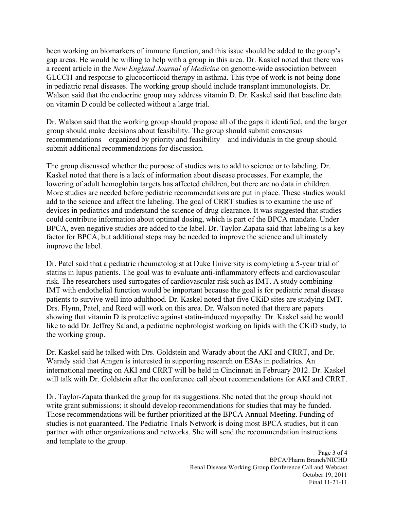been working on biomarkers of immune function, and this issue should be added to the group's gap areas. He would be willing to help with a group in this area. Dr. Kaskel noted that there was a recent article in the *New England Journal of Medicine* on genome-wide association between GLCCI1 and response to glucocorticoid therapy in asthma. This type of work is not being done in pediatric renal diseases. The working group should include transplant immunologists. Dr. Walson said that the endocrine group may address vitamin D. Dr. Kaskel said that baseline data on vitamin D could be collected without a large trial.

Dr. Walson said that the working group should propose all of the gaps it identified, and the larger group should make decisions about feasibility. The group should submit consensus recommendations—organized by priority and feasibility—and individuals in the group should submit additional recommendations for discussion.

The group discussed whether the purpose of studies was to add to science or to labeling. Dr. Kaskel noted that there is a lack of information about disease processes. For example, the lowering of adult hemoglobin targets has affected children, but there are no data in children. More studies are needed before pediatric recommendations are put in place. These studies would add to the science and affect the labeling. The goal of CRRT studies is to examine the use of devices in pediatrics and understand the science of drug clearance. It was suggested that studies could contribute information about optimal dosing, which is part of the BPCA mandate. Under BPCA, even negative studies are added to the label. Dr. Taylor-Zapata said that labeling is a key factor for BPCA, but additional steps may be needed to improve the science and ultimately improve the label.

Dr. Patel said that a pediatric rheumatologist at Duke University is completing a 5-year trial of statins in lupus patients. The goal was to evaluate anti-inflammatory effects and cardiovascular risk. The researchers used surrogates of cardiovascular risk such as IMT. A study combining IMT with endothelial function would be important because the goal is for pediatric renal disease patients to survive well into adulthood. Dr. Kaskel noted that five CKiD sites are studying IMT. Drs. Flynn, Patel, and Reed will work on this area. Dr. Walson noted that there are papers showing that vitamin D is protective against statin-induced myopathy. Dr. Kaskel said he would like to add Dr. Jeffrey Saland, a pediatric nephrologist working on lipids with the CKiD study, to the working group.

Dr. Kaskel said he talked with Drs. Goldstein and Warady about the AKI and CRRT, and Dr. Warady said that Amgen is interested in supporting research on ESAs in pediatrics. An international meeting on AKI and CRRT will be held in Cincinnati in February 2012. Dr. Kaskel will talk with Dr. Goldstein after the conference call about recommendations for AKI and CRRT.

Dr. Taylor-Zapata thanked the group for its suggestions. She noted that the group should not write grant submissions; it should develop recommendations for studies that may be funded. Those recommendations will be further prioritized at the BPCA Annual Meeting. Funding of studies is not guaranteed. The Pediatric Trials Network is doing most BPCA studies, but it can partner with other organizations and networks. She will send the recommendation instructions and template to the group.